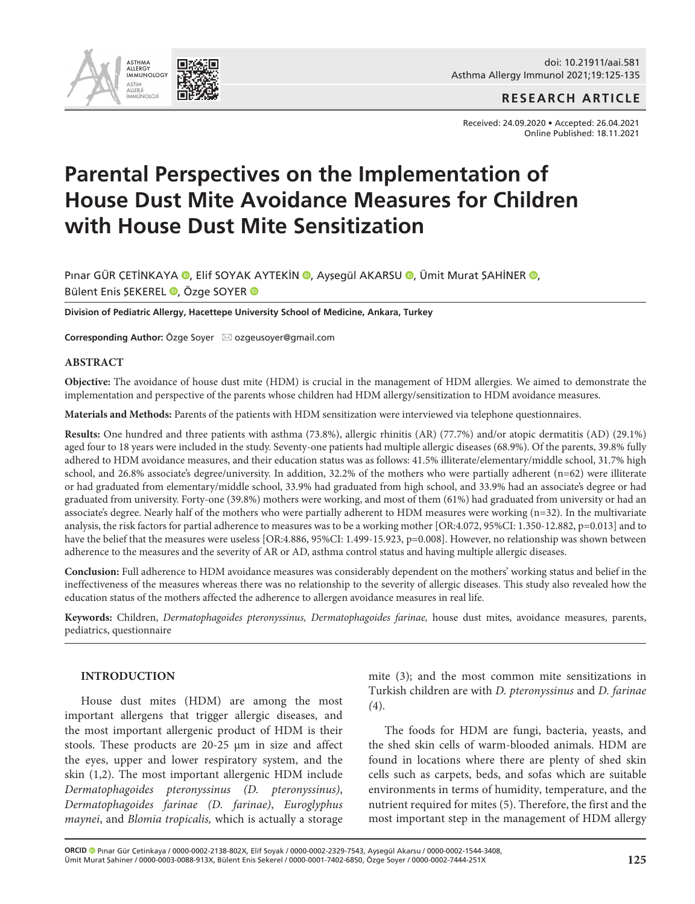

**RESEARCH ARTICLE**

Received: 24.09.2020 • Accepted: 26.04.2021 Online Published: 18.11.2021

# **Parental Perspectives on the Implementation of House Dust Mite Avoidance Measures for Children with House Dust Mite Sensitization**

Pınar GÜR ÇETİNKAYA (D[,](http://orcid.org/0000-0003-0088-913X) Elif SOYAK AYTEKİN (D, Ayşegül AKARSU (D, Ümit Murat ŞAHİNER (D, Bülent Enis SEKEREL <sup>®</sup>[,](http://orcid.org/0000-0001-7402-6850) Özge SOYER <sup>®</sup>

**Division of Pediatric Allergy, Hacettepe University School of Medicine, Ankara, Turkey**

**Corresponding Author:** Özge Soyer ⊠ ozgeusoyer@gmail.com

#### **ABSTRACT**

**Objective:** The avoidance of house dust mite (HDM) is crucial in the management of HDM allergies. We aimed to demonstrate the implementation and perspective of the parents whose children had HDM allergy/sensitization to HDM avoidance measures.

**Materials and Methods:** Parents of the patients with HDM sensitization were interviewed via telephone questionnaires.

**Results:** One hundred and three patients with asthma (73.8%), allergic rhinitis (AR) (77.7%) and/or atopic dermatitis (AD) (29.1%) aged four to 18 years were included in the study. Seventy-one patients had multiple allergic diseases (68.9%). Of the parents, 39.8% fully adhered to HDM avoidance measures, and their education status was as follows: 41.5% illiterate/elementary/middle school, 31.7% high school, and 26.8% associate's degree/university. In addition, 32.2% of the mothers who were partially adherent (n=62) were illiterate or had graduated from elementary/middle school, 33.9% had graduated from high school, and 33.9% had an associate's degree or had graduated from university. Forty-one (39.8%) mothers were working, and most of them (61%) had graduated from university or had an associate's degree. Nearly half of the mothers who were partially adherent to HDM measures were working (n=32). In the multivariate analysis, the risk factors for partial adherence to measures was to be a working mother [OR:4.072, 95%CI: 1.350-12.882, p=0.013] and to have the belief that the measures were useless [OR:4.886, 95%CI: 1.499-15.923, p=0.008]. However, no relationship was shown between adherence to the measures and the severity of AR or AD, asthma control status and having multiple allergic diseases.

**Conclusion:** Full adherence to HDM avoidance measures was considerably dependent on the mothers' working status and belief in the ineffectiveness of the measures whereas there was no relationship to the severity of allergic diseases. This study also revealed how the education status of the mothers affected the adherence to allergen avoidance measures in real life.

**Keywords:** Children, *Dermatophagoides pteronyssinus, Dermatophagoides farinae,* house dust mites, avoidance measures, parents, pediatrics, questionnaire

### **INTRODUCTION**

House dust mites (HDM) are among the most important allergens that trigger allergic diseases, and the most important allergenic product of HDM is their stools. These products are 20-25 μm in size and affect the eyes, upper and lower respiratory system, and the skin (1,2). The most important allergenic HDM include *Dermatophagoides pteronyssinus (D. pteronyssinus)*, *Dermatophagoides farinae (D. farinae)*, *Euroglyphus maynei*, and *Blomia tropicalis,* which is actually a storage mite (3); and the most common mite sensitizations in Turkish children are with *D. pteronyssinus* and *D. farinae (*4).

The foods for HDM are fungi, bacteria, yeasts, and the shed skin cells of warm-blooded animals. HDM are found in locations where there are plenty of shed skin cells such as carpets, beds, and sofas which are suitable environments in terms of humidity, temperature, and the nutrient required for mites (5). Therefore, the first and the most important step in the management of HDM allergy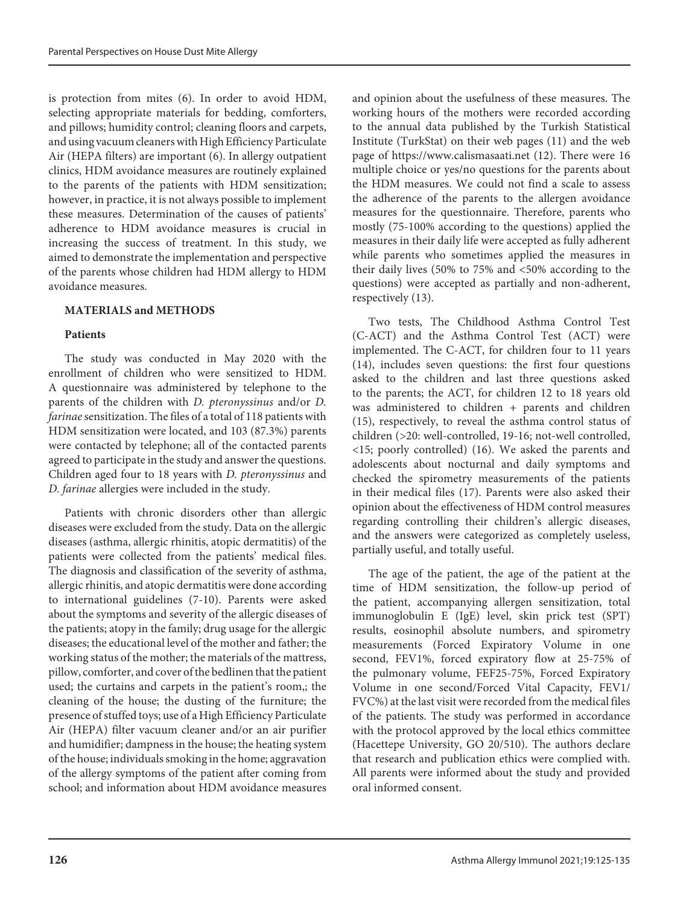is protection from mites (6). In order to avoid HDM, selecting appropriate materials for bedding, comforters, and pillows; humidity control; cleaning floors and carpets, and using vacuum cleaners with High Efficiency Particulate Air (HEPA filters) are important (6). In allergy outpatient clinics, HDM avoidance measures are routinely explained to the parents of the patients with HDM sensitization; however, in practice, it is not always possible to implement these measures. Determination of the causes of patients' adherence to HDM avoidance measures is crucial in increasing the success of treatment. In this study, we aimed to demonstrate the implementation and perspective of the parents whose children had HDM allergy to HDM avoidance measures.

# **MATERIALS and METHODS**

# **Patients**

The study was conducted in May 2020 with the enrollment of children who were sensitized to HDM. A questionnaire was administered by telephone to the parents of the children with *D. pteronyssinus* and/or *D. farinae* sensitization. The files of a total of 118 patients with HDM sensitization were located, and 103 (87.3%) parents were contacted by telephone; all of the contacted parents agreed to participate in the study and answer the questions. Children aged four to 18 years with *D. pteronyssinus* and *D. farinae* allergies were included in the study.

Patients with chronic disorders other than allergic diseases were excluded from the study. Data on the allergic diseases (asthma, allergic rhinitis, atopic dermatitis) of the patients were collected from the patients' medical files. The diagnosis and classification of the severity of asthma, allergic rhinitis, and atopic dermatitis were done according to international guidelines (7-10). Parents were asked about the symptoms and severity of the allergic diseases of the patients; atopy in the family; drug usage for the allergic diseases; the educational level of the mother and father; the working status of the mother; the materials of the mattress, pillow, comforter, and cover of the bedlinen that the patient used; the curtains and carpets in the patient's room,; the cleaning of the house; the dusting of the furniture; the presence of stuffed toys; use of a High Efficiency Particulate Air (HEPA) filter vacuum cleaner and/or an air purifier and humidifier; dampness in the house; the heating system of the house; individuals smoking in the home; aggravation of the allergy symptoms of the patient after coming from school; and information about HDM avoidance measures and opinion about the usefulness of these measures. The working hours of the mothers were recorded according to the annual data published by the Turkish Statistical Institute (TurkStat) on their web pages (11) and the web page of <https://www.calismasaati.net> (12). There were 16 multiple choice or yes/no questions for the parents about the HDM measures. We could not find a scale to assess the adherence of the parents to the allergen avoidance measures for the questionnaire. Therefore, parents who mostly (75-100% according to the questions) applied the measures in their daily life were accepted as fully adherent while parents who sometimes applied the measures in their daily lives (50% to 75% and <50% according to the questions) were accepted as partially and non-adherent, respectively (13).

Two tests, The Childhood Asthma Control Test (C-ACT) and the Asthma Control Test (ACT) were implemented. The C-ACT, for children four to 11 years (14), includes seven questions: the first four questions asked to the children and last three questions asked to the parents; the ACT, for children 12 to 18 years old was administered to children + parents and children (15), respectively, to reveal the asthma control status of children (>20: well-controlled, 19-16; not-well controlled, <15; poorly controlled) (16). We asked the parents and adolescents about nocturnal and daily symptoms and checked the spirometry measurements of the patients in their medical files (17). Parents were also asked their opinion about the effectiveness of HDM control measures regarding controlling their children's allergic diseases, and the answers were categorized as completely useless, partially useful, and totally useful.

The age of the patient, the age of the patient at the time of HDM sensitization, the follow-up period of the patient, accompanying allergen sensitization, total immunoglobulin E (IgE) level, skin prick test (SPT) results, eosinophil absolute numbers, and spirometry measurements (Forced Expiratory Volume in one second, FEV1%, forced expiratory flow at 25-75% of the pulmonary volume, FEF25-75%, Forced Expiratory Volume in one second/Forced Vital Capacity, FEV1/ FVC%) at the last visit were recorded from the medical files of the patients. The study was performed in accordance with the protocol approved by the local ethics committee (Hacettepe University, GO 20/510). The authors declare that research and publication ethics were complied with. All parents were informed about the study and provided oral informed consent.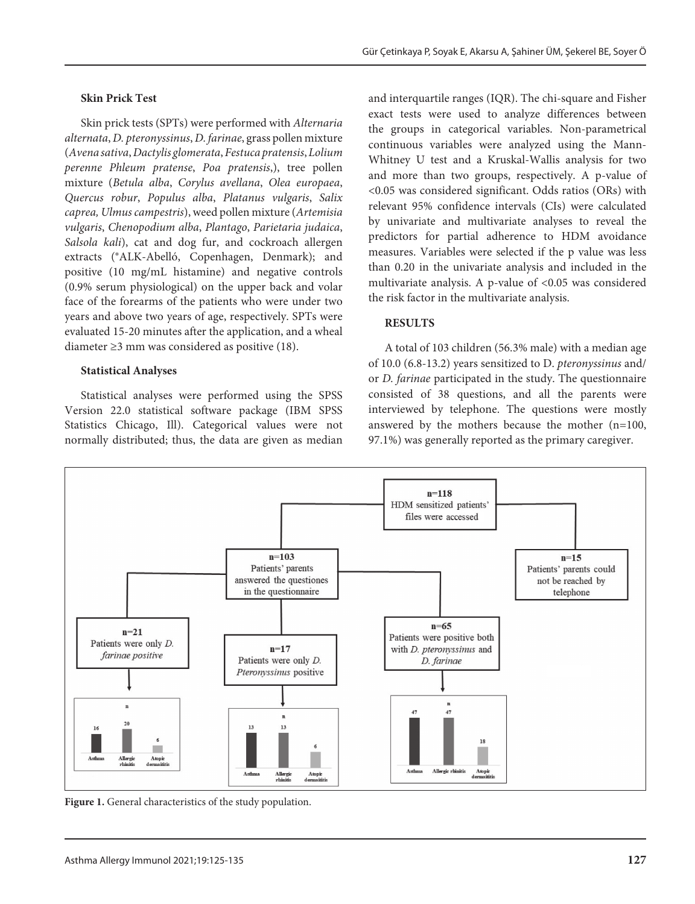#### **Skin Prick Test**

Skin prick tests (SPTs) were performed with *Alternaria alternata*, *D. pteronyssinus*, *D. farinae*, grass pollen mixture (*Avena sativa*, *Dactylis glomerata*, *Festuca pratensis*, *Lolium perenne Phleum pratense*, *Poa pratensis*,), tree pollen mixture (*Betula alba*, *Corylus avellana*, *Olea europaea*, *Quercus robur*, *Populus alba*, *Platanus vulgaris*, *Salix caprea, Ulmus campestris*), weed pollen mixture (*Artemisia vulgaris*, *Chenopodium alba*, *Plantago*, *Parietaria judaica*, *Salsola kali*), cat and dog fur, and cockroach allergen extracts (®ALK-Abelló, Copenhagen, Denmark); and positive (10 mg/mL histamine) and negative controls (0.9% serum physiological) on the upper back and volar face of the forearms of the patients who were under two years and above two years of age, respectively. SPTs were evaluated 15-20 minutes after the application, and a wheal diameter ≥3 mm was considered as positive (18).

#### **Statistical Analyses**

Statistical analyses were performed using the SPSS Version 22.0 statistical software package (IBM SPSS Statistics Chicago, Ill). Categorical values were not normally distributed; thus, the data are given as median

and interquartile ranges (IQR). The chi-square and Fisher exact tests were used to analyze differences between the groups in categorical variables. Non-parametrical continuous variables were analyzed using the Mann-Whitney U test and a Kruskal-Wallis analysis for two and more than two groups, respectively. A p-value of <0.05 was considered significant. Odds ratios (ORs) with relevant 95% confidence intervals (CIs) were calculated by univariate and multivariate analyses to reveal the predictors for partial adherence to HDM avoidance measures. Variables were selected if the p value was less than 0.20 in the univariate analysis and included in the multivariate analysis. A p-value of <0.05 was considered the risk factor in the multivariate analysis.

## **RESULTS**

A total of 103 children (56.3% male) with a median age of 10.0 (6.8-13.2) years sensitized to D. *pteronyssinus* and/ or *D. farinae* participated in the study. The questionnaire consisted of 38 questions, and all the parents were interviewed by telephone. The questions were mostly answered by the mothers because the mother (n=100, 97.1%) was generally reported as the primary caregiver.



Figure 1. General characteristics of the study population.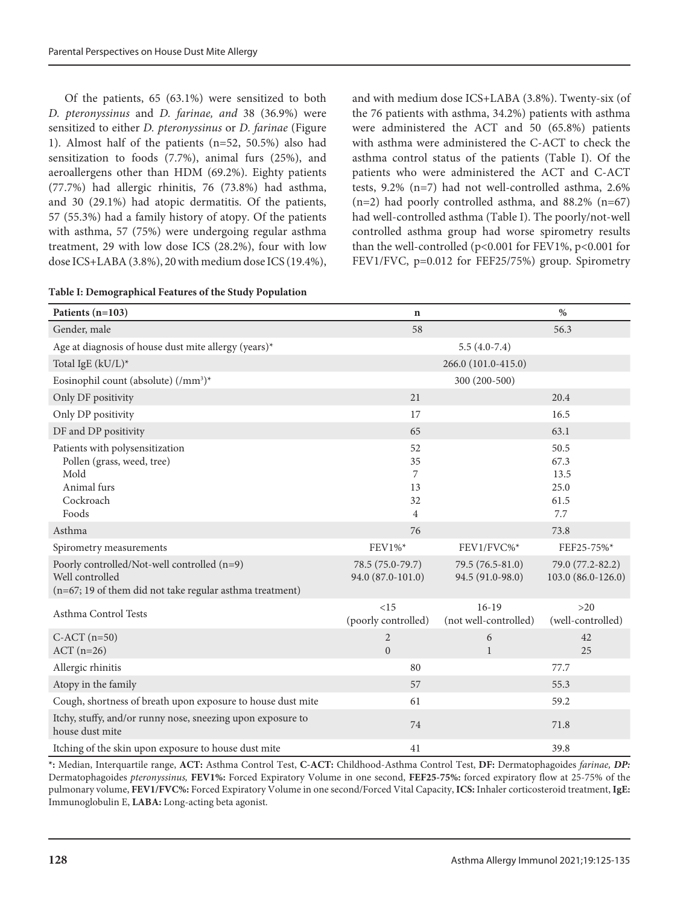Of the patients, 65 (63.1%) were sensitized to both *D. pteronyssinus* and *D. farinae, and* 38 (36.9%) were sensitized to either *D. pteronyssinus* or *D. farinae* (Figure 1). Almost half of the patients (n=52, 50.5%) also had sensitization to foods (7.7%), animal furs (25%), and aeroallergens other than HDM (69.2%). Eighty patients (77.7%) had allergic rhinitis, 76 (73.8%) had asthma, and 30 (29.1%) had atopic dermatitis. Of the patients, 57 (55.3%) had a family history of atopy. Of the patients with asthma, 57 (75%) were undergoing regular asthma treatment, 29 with low dose ICS (28.2%), four with low dose ICS+LABA (3.8%), 20 with medium dose ICS (19.4%), and with medium dose ICS+LABA (3.8%). Twenty-six (of the 76 patients with asthma, 34.2%) patients with asthma were administered the ACT and 50 (65.8%) patients with asthma were administered the C-ACT to check the asthma control status of the patients (Table I). Of the patients who were administered the ACT and C-ACT tests, 9.2% (n=7) had not well-controlled asthma, 2.6%  $(n=2)$  had poorly controlled asthma, and 88.2%  $(n=67)$ had well-controlled asthma (Table I). The poorly/not-well controlled asthma group had worse spirometry results than the well-controlled (p<0.001 for FEV1%, p<0.001 for FEV1/FVC, p=0.012 for FEF25/75%) group. Spirometry

| Patients (n=103)                                                                                                           | $\mathbf n$                                 |                                      | $\%$                                        |
|----------------------------------------------------------------------------------------------------------------------------|---------------------------------------------|--------------------------------------|---------------------------------------------|
| Gender, male                                                                                                               | 58                                          |                                      | 56.3                                        |
| Age at diagnosis of house dust mite allergy (years)*                                                                       |                                             | $5.5(4.0-7.4)$                       |                                             |
| Total IgE (kU/L)*                                                                                                          |                                             | 266.0 (101.0-415.0)                  |                                             |
| Eosinophil count (absolute) (/mm <sup>3</sup> )*                                                                           |                                             | 300 (200-500)                        |                                             |
| Only DF positivity                                                                                                         | 21                                          |                                      | 20.4                                        |
| Only DP positivity                                                                                                         | 17                                          |                                      | 16.5                                        |
| DF and DP positivity                                                                                                       | 65                                          |                                      | 63.1                                        |
| Patients with polysensitization<br>Pollen (grass, weed, tree)<br>Mold<br>Animal furs<br>Cockroach<br>Foods                 | 52<br>35<br>7<br>13<br>32<br>$\overline{4}$ |                                      | 50.5<br>67.3<br>13.5<br>25.0<br>61.5<br>7.7 |
| Asthma                                                                                                                     | 76                                          |                                      | 73.8                                        |
| Spirometry measurements                                                                                                    | FEV1%*                                      | FEV1/FVC%*                           | FEF25-75%*                                  |
| Poorly controlled/Not-well controlled (n=9)<br>Well controlled<br>(n=67; 19 of them did not take regular asthma treatment) | 78.5 (75.0-79.7)<br>94.0 (87.0-101.0)       | 79.5 (76.5-81.0)<br>94.5 (91.0-98.0) | 79.0 (77.2-82.2)<br>103.0 (86.0-126.0)      |
| Asthma Control Tests                                                                                                       | <15<br>(poorly controlled)                  | $16-19$<br>(not well-controlled)     | >20<br>(well-controlled)                    |
| $C-ACT$ (n=50)<br>$ACT (n=26)$                                                                                             | 2<br>$\boldsymbol{0}$                       | 6<br>$\mathbf{1}$                    | 42<br>25                                    |
| Allergic rhinitis                                                                                                          | 80                                          |                                      | 77.7                                        |
| Atopy in the family                                                                                                        | 57                                          |                                      | 55.3                                        |
| Cough, shortness of breath upon exposure to house dust mite                                                                | 61                                          |                                      | 59.2                                        |
| Itchy, stuffy, and/or runny nose, sneezing upon exposure to<br>house dust mite                                             | 74                                          |                                      | 71.8                                        |
| Itching of the skin upon exposure to house dust mite                                                                       | 41                                          |                                      | 39.8                                        |

**\*:** Median, Interquartile range, **ACT:** Asthma Control Test, **C-ACT:** Childhood-Asthma Control Test, **DF:** Dermatophagoides *farinae, DP:*  Dermatophagoides *pteronyssinus,* **FEV1%:** Forced Expiratory Volume in one second, **FEF25-75%:** forced expiratory flow at 25-75% of the pulmonary volume, **FEV1/FVC%:** Forced Expiratory Volume in one second/Forced Vital Capacity, **ICS:** Inhaler corticosteroid treatment, **IgE:**  Immunoglobulin E, **LABA:** Long-acting beta agonist.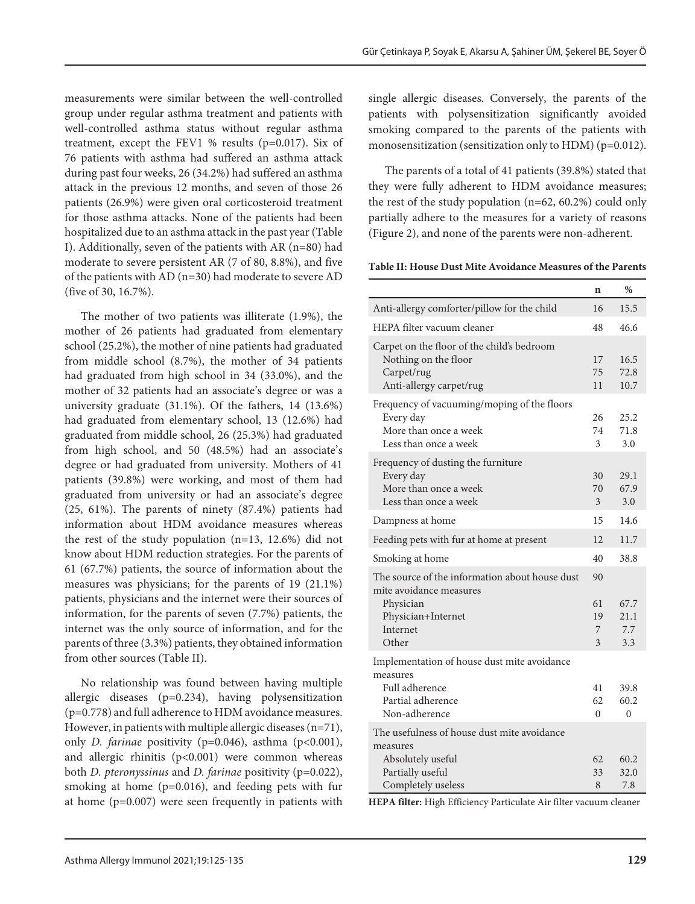measurements were similar between the well-controlled group under regular asthma treatment and patients with well-controlled asthma status without regular asthma treatment, except the FEV1 % results (p=0.017). Six of 76 patients with asthma had suffered an asthma attack during past four weeks, 26 (34.2%) had suffered an asthma attack in the previous 12 months, and seven of those 26 patients (26.9%) were given oral corticosteroid treatment for those asthma attacks. None of the patients had been hospitalized due to an asthma attack in the past year (Table I). Additionally, seven of the patients with AR (n=80) had moderate to severe persistent AR (7 of 80, 8.8%), and five of the patients with AD (n=30) had moderate to severe AD (five of 30, 16.7%).

The mother of two patients was illiterate (1.9%), the mother of 26 patients had graduated from elementary school (25.2%), the mother of nine patients had graduated from middle school (8.7%), the mother of 34 patients had graduated from high school in 34 (33.0%), and the mother of 32 patients had an associate's degree or was a university graduate (31.1%). Of the fathers, 14 (13.6%) had graduated from elementary school, 13 (12.6%) had graduated from middle school, 26 (25.3%) had graduated from high school, and 50 (48.5%) had an associate's degree or had graduated from university. Mothers of 41 patients (39.8%) were working, and most of them had graduated from university or had an associate's degree (25, 61%). The parents of ninety (87.4%) patients had information about HDM avoidance measures whereas the rest of the study population (n=13, 12.6%) did not know about HDM reduction strategies. For the parents of 61 (67.7%) patients, the source of information about the measures was physicians; for the parents of 19 (21.1%) patients, physicians and the internet were their sources of information, for the parents of seven (7.7%) patients, the internet was the only source of information, and for the parents of three (3.3%) patients, they obtained information from other sources (Table II).

No relationship was found between having multiple allergic diseases (p=0.234), having polysensitization (p=0.778) and full adherence to HDM avoidance measures. However, in patients with multiple allergic diseases  $(n=71)$ , only *D. farinae* positivity (p=0.046), asthma (p<0.001), and allergic rhinitis (p<0.001) were common whereas both *D. pteronyssinus* and *D. farinae* positivity (p=0.022), smoking at home (p=0.016), and feeding pets with fur at home (p=0.007) were seen frequently in patients with single allergic diseases. Conversely, the parents of the patients with polysensitization significantly avoided smoking compared to the parents of the patients with monosensitization (sensitization only to HDM) (p=0.012).

The parents of a total of 41 patients (39.8%) stated that they were fully adherent to HDM avoidance measures; the rest of the study population (n=62, 60.2%) could only partially adhere to the measures for a variety of reasons (Figure 2), and none of the parents were non-adherent.

**Table II: House Dust Mite Avoidance Measures of the Parents**

|                                                                                                                                   | n                        | %                          |
|-----------------------------------------------------------------------------------------------------------------------------------|--------------------------|----------------------------|
| Anti-allergy comforter/pillow for the child                                                                                       |                          | 15.5                       |
| HEPA filter vacuum cleaner                                                                                                        | 48                       | 46.6                       |
| Carpet on the floor of the child's bedroom<br>Nothing on the floor<br>Carpet/rug<br>Anti-allergy carpet/rug                       | 17<br>75<br>11           | 16.5<br>72.8<br>10.7       |
| Frequency of vacuuming/moping of the floors<br>Every day<br>More than once a week<br>Less than once a week                        | 26<br>74<br>3            | 25.2<br>71.8<br>3.0        |
| Frequency of dusting the furniture<br>Every day<br>More than once a week<br>Less than once a week                                 | 30<br>70<br>3            | 29.1<br>67.9<br>3.0        |
| Dampness at home                                                                                                                  | 15                       | 14.6                       |
| Feeding pets with fur at home at present                                                                                          | 12                       | 11.7                       |
| Smoking at home                                                                                                                   | 40                       | 38.8                       |
| The source of the information about house dust<br>mite avoidance measures<br>Physician<br>Physician+Internet<br>Internet<br>Other | 90<br>61<br>19<br>7<br>3 | 67.7<br>21.1<br>7.7<br>3.3 |
| Implementation of house dust mite avoidance<br>measures<br>Full adherence<br>Partial adherence<br>Non-adherence                   | 41<br>62<br>$\Omega$     | 39.8<br>60.2<br>$\theta$   |
| The usefulness of house dust mite avoidance<br>measures<br>Absolutely useful<br>Partially useful<br>Completely useless            | 62<br>33<br>8            | 60.2<br>32.0<br>7.8        |

**HEPA filter:** High Efficiency Particulate Air filter vacuum cleaner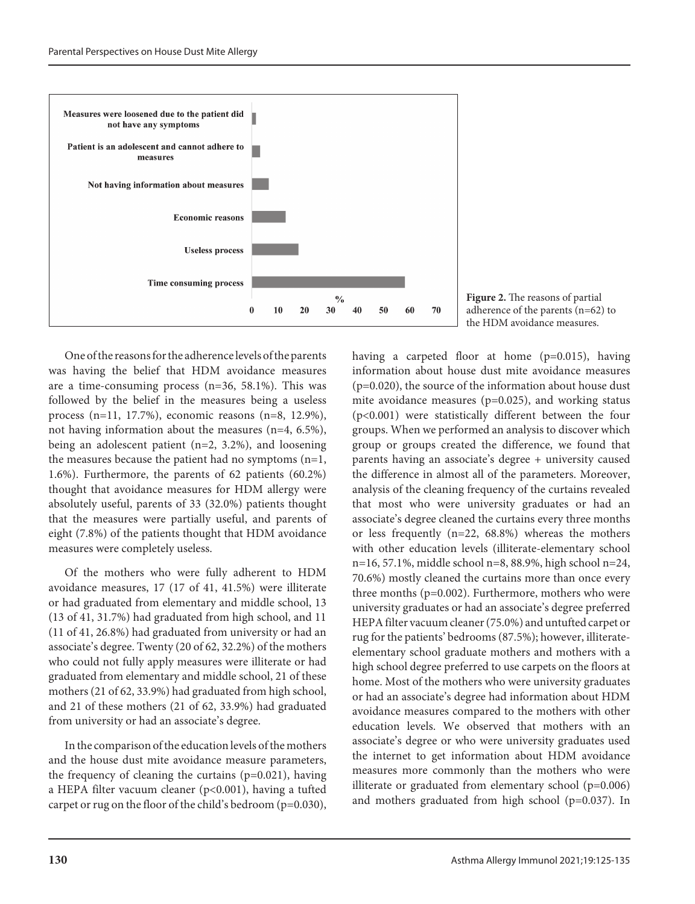

One of the reasons for the adherence levels of the parents was having the belief that HDM avoidance measures are a time-consuming process (n=36, 58.1%). This was followed by the belief in the measures being a useless process (n=11, 17.7%), economic reasons (n=8, 12.9%), not having information about the measures (n=4, 6.5%), being an adolescent patient (n=2, 3.2%), and loosening the measures because the patient had no symptoms  $(n=1,$ 1.6%). Furthermore, the parents of 62 patients (60.2%) thought that avoidance measures for HDM allergy were absolutely useful, parents of 33 (32.0%) patients thought that the measures were partially useful, and parents of eight (7.8%) of the patients thought that HDM avoidance measures were completely useless.

Of the mothers who were fully adherent to HDM avoidance measures, 17 (17 of 41, 41.5%) were illiterate or had graduated from elementary and middle school, 13 (13 of 41, 31.7%) had graduated from high school, and 11 (11 of 41, 26.8%) had graduated from university or had an associate's degree. Twenty (20 of 62, 32.2%) of the mothers who could not fully apply measures were illiterate or had graduated from elementary and middle school, 21 of these mothers (21 of 62, 33.9%) had graduated from high school, and 21 of these mothers (21 of 62, 33.9%) had graduated from university or had an associate's degree.

In the comparison of the education levels of the mothers and the house dust mite avoidance measure parameters, the frequency of cleaning the curtains  $(p=0.021)$ , having a HEPA filter vacuum cleaner (p<0.001), having a tufted carpet or rug on the floor of the child's bedroom (p=0.030),



having a carpeted floor at home (p=0.015), having information about house dust mite avoidance measures (p=0.020), the source of the information about house dust mite avoidance measures (p=0.025), and working status (p<0.001) were statistically different between the four groups. When we performed an analysis to discover which group or groups created the difference, we found that parents having an associate's degree + university caused the difference in almost all of the parameters. Moreover, analysis of the cleaning frequency of the curtains revealed that most who were university graduates or had an associate's degree cleaned the curtains every three months or less frequently (n=22, 68.8%) whereas the mothers with other education levels (illiterate-elementary school n=16, 57.1%, middle school n=8, 88.9%, high school n=24, 70.6%) mostly cleaned the curtains more than once every three months (p=0.002). Furthermore, mothers who were university graduates or had an associate's degree preferred HEPA filter vacuum cleaner (75.0%) and untufted carpet or rug for the patients' bedrooms (87.5%); however, illiterateelementary school graduate mothers and mothers with a high school degree preferred to use carpets on the floors at home. Most of the mothers who were university graduates or had an associate's degree had information about HDM avoidance measures compared to the mothers with other education levels. We observed that mothers with an associate's degree or who were university graduates used the internet to get information about HDM avoidance measures more commonly than the mothers who were illiterate or graduated from elementary school (p=0.006) and mothers graduated from high school (p=0.037). In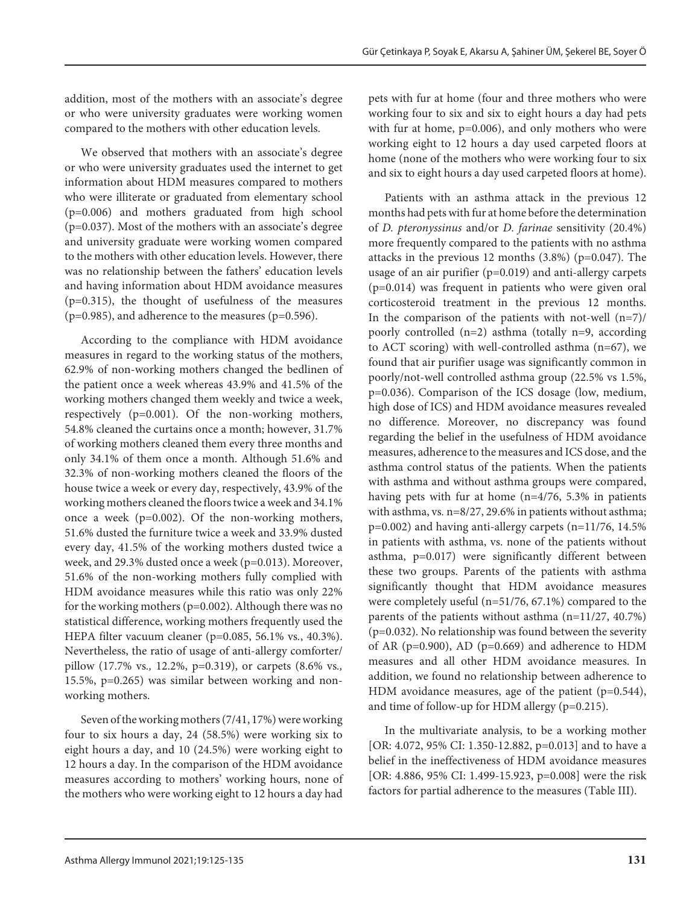addition, most of the mothers with an associate's degree or who were university graduates were working women compared to the mothers with other education levels.

We observed that mothers with an associate's degree or who were university graduates used the internet to get information about HDM measures compared to mothers who were illiterate or graduated from elementary school (p=0.006) and mothers graduated from high school (p=0.037). Most of the mothers with an associate's degree and university graduate were working women compared to the mothers with other education levels. However, there was no relationship between the fathers' education levels and having information about HDM avoidance measures (p=0.315), the thought of usefulness of the measures  $(p=0.985)$ , and adherence to the measures  $(p=0.596)$ .

According to the compliance with HDM avoidance measures in regard to the working status of the mothers, 62.9% of non-working mothers changed the bedlinen of the patient once a week whereas 43.9% and 41.5% of the working mothers changed them weekly and twice a week, respectively (p=0.001). Of the non-working mothers, 54.8% cleaned the curtains once a month; however, 31.7% of working mothers cleaned them every three months and only 34.1% of them once a month. Although 51.6% and 32.3% of non-working mothers cleaned the floors of the house twice a week or every day, respectively, 43.9% of the working mothers cleaned the floors twice a week and 34.1% once a week  $(p=0.002)$ . Of the non-working mothers, 51.6% dusted the furniture twice a week and 33.9% dusted every day, 41.5% of the working mothers dusted twice a week, and 29.3% dusted once a week (p=0.013). Moreover, 51.6% of the non-working mothers fully complied with HDM avoidance measures while this ratio was only 22% for the working mothers (p=0.002). Although there was no statistical difference, working mothers frequently used the HEPA filter vacuum cleaner (p=0.085, 56.1% vs*.*, 40.3%). Nevertheless, the ratio of usage of anti-allergy comforter/ pillow (17.7% vs*.,* 12.2%, p=0.319), or carpets (8.6% vs*.,* 15.5%, p=0.265) was similar between working and nonworking mothers.

Seven of the working mothers (7/41, 17%) were working four to six hours a day, 24 (58.5%) were working six to eight hours a day, and 10 (24.5%) were working eight to 12 hours a day. In the comparison of the HDM avoidance measures according to mothers' working hours, none of the mothers who were working eight to 12 hours a day had

pets with fur at home (four and three mothers who were working four to six and six to eight hours a day had pets with fur at home, p=0.006), and only mothers who were working eight to 12 hours a day used carpeted floors at home (none of the mothers who were working four to six and six to eight hours a day used carpeted floors at home).

Patients with an asthma attack in the previous 12 months had pets with fur at home before the determination of *D. pteronyssinus* and/or *D. farinae* sensitivity (20.4%) more frequently compared to the patients with no asthma attacks in the previous 12 months (3.8%) (p=0.047). The usage of an air purifier (p=0.019) and anti-allergy carpets (p=0.014) was frequent in patients who were given oral corticosteroid treatment in the previous 12 months. In the comparison of the patients with not-well  $(n=7)$ / poorly controlled (n=2) asthma (totally n=9, according to ACT scoring) with well-controlled asthma (n=67), we found that air purifier usage was significantly common in poorly/not-well controlled asthma group (22.5% vs 1.5%, p=0.036). Comparison of the ICS dosage (low, medium, high dose of ICS) and HDM avoidance measures revealed no difference. Moreover, no discrepancy was found regarding the belief in the usefulness of HDM avoidance measures, adherence to the measures and ICS dose, and the asthma control status of the patients. When the patients with asthma and without asthma groups were compared, having pets with fur at home (n=4/76, 5.3% in patients with asthma, vs*.* n=8/27, 29.6% in patients without asthma;  $p=0.002$ ) and having anti-allergy carpets (n=11/76, 14.5%) in patients with asthma, vs. none of the patients without asthma, p=0.017) were significantly different between these two groups. Parents of the patients with asthma significantly thought that HDM avoidance measures were completely useful (n=51/76, 67.1%) compared to the parents of the patients without asthma (n=11/27, 40.7%)  $(p=0.032)$ . No relationship was found between the severity of AR ( $p=0.900$ ), AD ( $p=0.669$ ) and adherence to HDM measures and all other HDM avoidance measures. In addition, we found no relationship between adherence to HDM avoidance measures, age of the patient (p=0.544), and time of follow-up for HDM allergy (p=0.215).

In the multivariate analysis, to be a working mother [OR: 4.072, 95% CI: 1.350-12.882, p=0.013] and to have a belief in the ineffectiveness of HDM avoidance measures [OR: 4.886, 95% CI: 1.499-15.923, p=0.008] were the risk factors for partial adherence to the measures (Table III).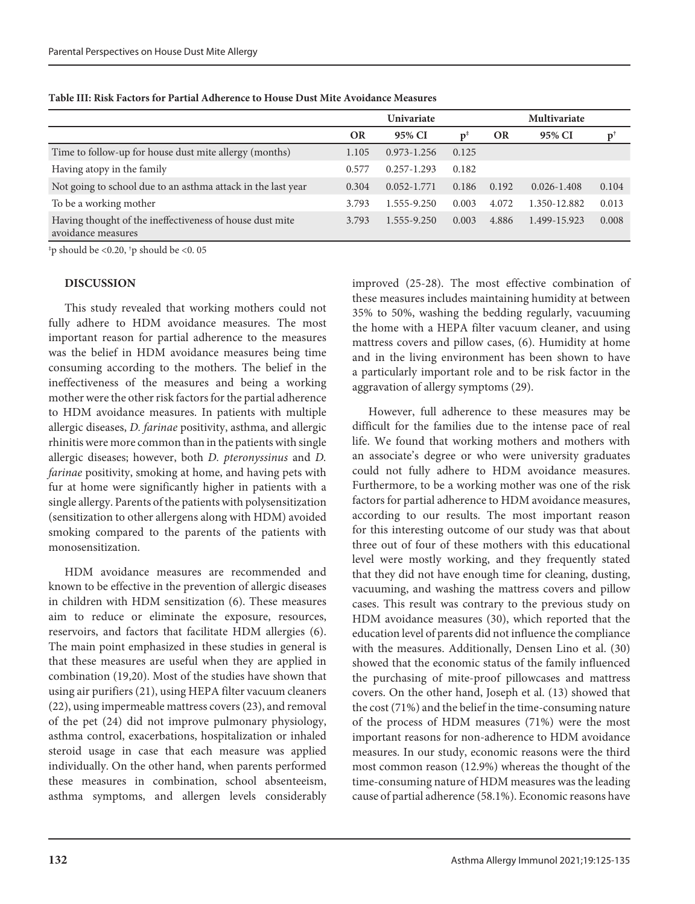|                                                                                | <b>Univariate</b> |                 |       | <b>Multivariate</b> |                 |       |
|--------------------------------------------------------------------------------|-------------------|-----------------|-------|---------------------|-----------------|-------|
|                                                                                | <b>OR</b>         | 95% CI          | Ď     | <b>OR</b>           | 95% CI          |       |
| Time to follow-up for house dust mite allergy (months)                         | 1.105             | $0.973 - 1.256$ | 0.125 |                     |                 |       |
| Having atopy in the family                                                     | 0.577             | $0.257 - 1.293$ | 0.182 |                     |                 |       |
| Not going to school due to an asthma attack in the last year                   | 0.304             | $0.052 - 1.771$ | 0.186 | 0.192               | $0.026 - 1.408$ | 0.104 |
| To be a working mother                                                         | 3.793             | 1.555-9.250     | 0.003 | 4.072               | 1.350-12.882    | 0.013 |
| Having thought of the ineffectiveness of house dust mite<br>avoidance measures | 3.793             | 1.555-9.250     | 0.003 | 4.886               | 1.499-15.923    | 0.008 |

**Table III: Risk Factors for Partial Adherence to House Dust Mite Avoidance Measures**

‡ p should be <0.20, † p should be <0. 05

#### **DISCUSSION**

This study revealed that working mothers could not fully adhere to HDM avoidance measures. The most important reason for partial adherence to the measures was the belief in HDM avoidance measures being time consuming according to the mothers. The belief in the ineffectiveness of the measures and being a working mother were the other risk factors for the partial adherence to HDM avoidance measures. In patients with multiple allergic diseases, *D. farinae* positivity, asthma, and allergic rhinitis were more common than in the patients with single allergic diseases; however, both *D. pteronyssinus* and *D. farinae* positivity, smoking at home, and having pets with fur at home were significantly higher in patients with a single allergy. Parents of the patients with polysensitization (sensitization to other allergens along with HDM) avoided smoking compared to the parents of the patients with monosensitization.

HDM avoidance measures are recommended and known to be effective in the prevention of allergic diseases in children with HDM sensitization (6). These measures aim to reduce or eliminate the exposure, resources, reservoirs, and factors that facilitate HDM allergies (6). The main point emphasized in these studies in general is that these measures are useful when they are applied in combination (19,20). Most of the studies have shown that using air purifiers (21), using HEPA filter vacuum cleaners (22), using impermeable mattress covers (23), and removal of the pet (24) did not improve pulmonary physiology, asthma control, exacerbations, hospitalization or inhaled steroid usage in case that each measure was applied individually. On the other hand, when parents performed these measures in combination, school absenteeism, asthma symptoms, and allergen levels considerably improved (25-28). The most effective combination of these measures includes maintaining humidity at between 35% to 50%, washing the bedding regularly, vacuuming the home with a HEPA filter vacuum cleaner, and using mattress covers and pillow cases, (6). Humidity at home and in the living environment has been shown to have a particularly important role and to be risk factor in the aggravation of allergy symptoms (29).

However, full adherence to these measures may be difficult for the families due to the intense pace of real life. We found that working mothers and mothers with an associate's degree or who were university graduates could not fully adhere to HDM avoidance measures. Furthermore, to be a working mother was one of the risk factors for partial adherence to HDM avoidance measures, according to our results. The most important reason for this interesting outcome of our study was that about three out of four of these mothers with this educational level were mostly working, and they frequently stated that they did not have enough time for cleaning, dusting, vacuuming, and washing the mattress covers and pillow cases. This result was contrary to the previous study on HDM avoidance measures (30), which reported that the education level of parents did not influence the compliance with the measures. Additionally, Densen Lino et al. (30) showed that the economic status of the family influenced the purchasing of mite-proof pillowcases and mattress covers. On the other hand, Joseph et al. (13) showed that the cost (71%) and the belief in the time-consuming nature of the process of HDM measures (71%) were the most important reasons for non-adherence to HDM avoidance measures. In our study, economic reasons were the third most common reason (12.9%) whereas the thought of the time-consuming nature of HDM measures was the leading cause of partial adherence (58.1%). Economic reasons have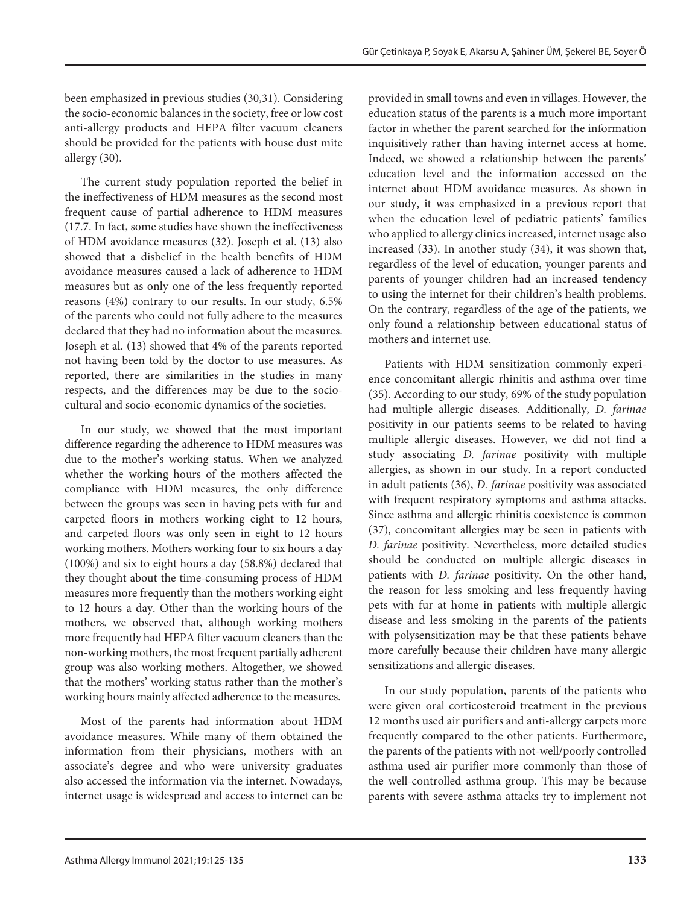been emphasized in previous studies (30,31). Considering the socio-economic balances in the society, free or low cost anti-allergy products and HEPA filter vacuum cleaners should be provided for the patients with house dust mite allergy (30).

The current study population reported the belief in the ineffectiveness of HDM measures as the second most frequent cause of partial adherence to HDM measures (17.7. In fact, some studies have shown the ineffectiveness of HDM avoidance measures (32). Joseph et al. (13) also showed that a disbelief in the health benefits of HDM avoidance measures caused a lack of adherence to HDM measures but as only one of the less frequently reported reasons (4%) contrary to our results. In our study, 6.5% of the parents who could not fully adhere to the measures declared that they had no information about the measures. Joseph et al. (13) showed that 4% of the parents reported not having been told by the doctor to use measures. As reported, there are similarities in the studies in many respects, and the differences may be due to the sociocultural and socio-economic dynamics of the societies.

In our study, we showed that the most important difference regarding the adherence to HDM measures was due to the mother's working status. When we analyzed whether the working hours of the mothers affected the compliance with HDM measures, the only difference between the groups was seen in having pets with fur and carpeted floors in mothers working eight to 12 hours, and carpeted floors was only seen in eight to 12 hours working mothers. Mothers working four to six hours a day (100%) and six to eight hours a day (58.8%) declared that they thought about the time-consuming process of HDM measures more frequently than the mothers working eight to 12 hours a day. Other than the working hours of the mothers, we observed that, although working mothers more frequently had HEPA filter vacuum cleaners than the non-working mothers, the most frequent partially adherent group was also working mothers. Altogether, we showed that the mothers' working status rather than the mother's working hours mainly affected adherence to the measures.

Most of the parents had information about HDM avoidance measures. While many of them obtained the information from their physicians, mothers with an associate's degree and who were university graduates also accessed the information via the internet. Nowadays, internet usage is widespread and access to internet can be

provided in small towns and even in villages. However, the education status of the parents is a much more important factor in whether the parent searched for the information inquisitively rather than having internet access at home. Indeed, we showed a relationship between the parents' education level and the information accessed on the internet about HDM avoidance measures. As shown in our study, it was emphasized in a previous report that when the education level of pediatric patients' families who applied to allergy clinics increased, internet usage also increased (33). In another study (34), it was shown that, regardless of the level of education, younger parents and parents of younger children had an increased tendency to using the internet for their children's health problems. On the contrary, regardless of the age of the patients, we only found a relationship between educational status of mothers and internet use.

Patients with HDM sensitization commonly experience concomitant allergic rhinitis and asthma over time (35). According to our study, 69% of the study population had multiple allergic diseases. Additionally, *D. farinae* positivity in our patients seems to be related to having multiple allergic diseases. However, we did not find a study associating *D. farinae* positivity with multiple allergies, as shown in our study. In a report conducted in adult patients (36), *D. farinae* positivity was associated with frequent respiratory symptoms and asthma attacks. Since asthma and allergic rhinitis coexistence is common (37), concomitant allergies may be seen in patients with *D. farinae* positivity. Nevertheless, more detailed studies should be conducted on multiple allergic diseases in patients with *D. farinae* positivity. On the other hand, the reason for less smoking and less frequently having pets with fur at home in patients with multiple allergic disease and less smoking in the parents of the patients with polysensitization may be that these patients behave more carefully because their children have many allergic sensitizations and allergic diseases.

In our study population, parents of the patients who were given oral corticosteroid treatment in the previous 12 months used air purifiers and anti-allergy carpets more frequently compared to the other patients. Furthermore, the parents of the patients with not-well/poorly controlled asthma used air purifier more commonly than those of the well-controlled asthma group. This may be because parents with severe asthma attacks try to implement not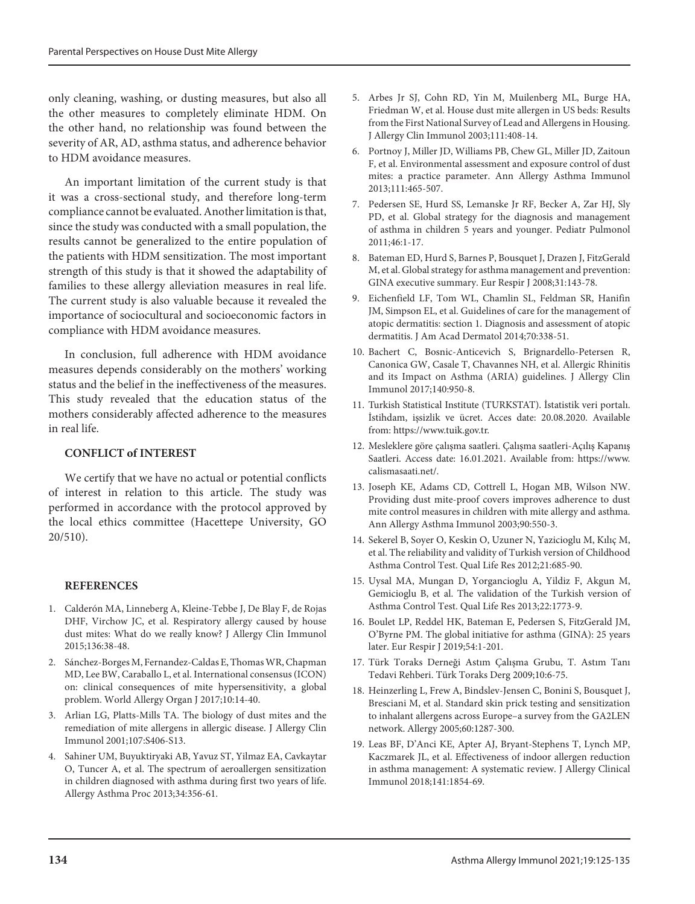only cleaning, washing, or dusting measures, but also all the other measures to completely eliminate HDM. On the other hand, no relationship was found between the severity of AR, AD, asthma status, and adherence behavior to HDM avoidance measures.

An important limitation of the current study is that it was a cross-sectional study, and therefore long-term compliance cannot be evaluated. Another limitation is that, since the study was conducted with a small population, the results cannot be generalized to the entire population of the patients with HDM sensitization. The most important strength of this study is that it showed the adaptability of families to these allergy alleviation measures in real life. The current study is also valuable because it revealed the importance of sociocultural and socioeconomic factors in compliance with HDM avoidance measures.

In conclusion, full adherence with HDM avoidance measures depends considerably on the mothers' working status and the belief in the ineffectiveness of the measures. This study revealed that the education status of the mothers considerably affected adherence to the measures in real life.

# **CONFLICT of INTEREST**

We certify that we have no actual or potential conflicts of interest in relation to this article. The study was performed in accordance with the protocol approved by the local ethics committee (Hacettepe University, GO 20/510).

## **REFERENCES**

- 1. Calderón MA, Linneberg A, Kleine-Tebbe J, De Blay F, de Rojas DHF, Virchow JC, et al. Respiratory allergy caused by house dust mites: What do we really know? J Allergy Clin Immunol 2015;136:38-48.
- 2. Sánchez-Borges M, Fernandez-Caldas E, Thomas WR, Chapman MD, Lee BW, Caraballo L, et al. International consensus (ICON) on: clinical consequences of mite hypersensitivity, a global problem. World Allergy Organ J 2017;10:14-40.
- 3. Arlian LG, Platts-Mills TA. The biology of dust mites and the remediation of mite allergens in allergic disease. J Allergy Clin Immunol 2001;107:S406-S13.
- 4. Sahiner UM, Buyuktiryaki AB, Yavuz ST, Yilmaz EA, Cavkaytar O, Tuncer A, et al. The spectrum of aeroallergen sensitization in children diagnosed with asthma during first two years of life. Allergy Asthma Proc 2013;34:356-61.
- 5. Arbes Jr SJ, Cohn RD, Yin M, Muilenberg ML, Burge HA, Friedman W, et al. House dust mite allergen in US beds: Results from the First National Survey of Lead and Allergens in Housing. J Allergy Clin Immunol 2003;111:408-14.
- 6. Portnoy J, Miller JD, Williams PB, Chew GL, Miller JD, Zaitoun F, et al. Environmental assessment and exposure control of dust mites: a practice parameter. Ann Allergy Asthma Immunol 2013;111:465-507.
- 7. Pedersen SE, Hurd SS, Lemanske Jr RF, Becker A, Zar HJ, Sly PD, et al. Global strategy for the diagnosis and management of asthma in children 5 years and younger. Pediatr Pulmonol 2011;46:1-17.
- 8. Bateman ED, Hurd S, Barnes P, Bousquet J, Drazen J, FitzGerald M, et al. Global strategy for asthma management and prevention: GINA executive summary. Eur Respir J 2008;31:143-78.
- 9. Eichenfield LF, Tom WL, Chamlin SL, Feldman SR, Hanifin JM, Simpson EL, et al. Guidelines of care for the management of atopic dermatitis: section 1. Diagnosis and assessment of atopic dermatitis. J Am Acad Dermatol 2014;70:338-51.
- 10. Bachert C, Bosnic-Anticevich S, Brignardello-Petersen R, Canonica GW, Casale T, Chavannes NH, et al. Allergic Rhinitis and its Impact on Asthma (ARIA) guidelines. J Allergy Clin Immunol 2017;140:950-8.
- 11. Turkish Statistical Institute (TURKSTAT). İstatistik veri portalı. İstihdam, işsizlik ve ücret. Acces date: 20.08.2020. Available from: https://www.tuik.gov.tr.
- 12. Mesleklere göre çalışma saatleri. Çalışma saatleri-Açılış Kapanış Saatleri. Access date: 16.01.2021. Available from: https://www. calismasaati.net/.
- 13. Joseph KE, Adams CD, Cottrell L, Hogan MB, Wilson NW. Providing dust mite-proof covers improves adherence to dust mite control measures in children with mite allergy and asthma. Ann Allergy Asthma Immunol 2003;90:550-3.
- 14. Sekerel B, Soyer O, Keskin O, Uzuner N, Yazicioglu M, Kılıç M, et al. The reliability and validity of Turkish version of Childhood Asthma Control Test. Qual Life Res 2012;21:685-90.
- 15. Uysal MA, Mungan D, Yorgancioglu A, Yildiz F, Akgun M, Gemicioglu B, et al. The validation of the Turkish version of Asthma Control Test. Qual Life Res 2013;22:1773-9.
- 16. Boulet LP, Reddel HK, Bateman E, Pedersen S, FitzGerald JM, O'Byrne PM. The global initiative for asthma (GINA): 25 years later. Eur Respir J 2019;54:1-201.
- 17. Türk Toraks Derneği Astım Çalışma Grubu, T. Astım Tanı Tedavi Rehberi. Türk Toraks Derg 2009;10:6-75.
- 18. Heinzerling L, Frew A, Bindslev‐Jensen C, Bonini S, Bousquet J, Bresciani M, et al. Standard skin prick testing and sensitization to inhalant allergens across Europe–a survey from the GA2LEN network. Allergy 2005;60:1287-300.
- 19. Leas BF, D'Anci KE, Apter AJ, Bryant-Stephens T, Lynch MP, Kaczmarek JL, et al. Effectiveness of indoor allergen reduction in asthma management: A systematic review. J Allergy Clinical Immunol 2018;141:1854-69.